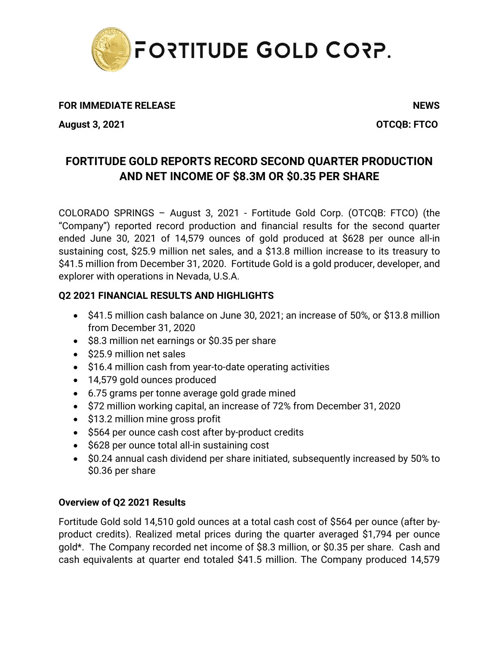

## **FOR IMMEDIATE RELEASE** NEWS

**August 3, 2021 OTCQB: FTCO**

# **FORTITUDE GOLD REPORTS RECORD SECOND QUARTER PRODUCTION AND NET INCOME OF \$8.3M OR \$0.35 PER SHARE**

COLORADO SPRINGS – August 3, 2021 - Fortitude Gold Corp. (OTCQB: FTCO) (the "Company") reported record production and financial results for the second quarter ended June 30, 2021 of 14,579 ounces of gold produced at \$628 per ounce all-in sustaining cost, \$25.9 million net sales, and a \$13.8 million increase to its treasury to \$41.5 million from December 31, 2020. Fortitude Gold is a gold producer, developer, and explorer with operations in Nevada, U.S.A.

## **Q2 2021 FINANCIAL RESULTS AND HIGHLIGHTS**

- \$41.5 million cash balance on June 30, 2021; an increase of 50%, or \$13.8 million from December 31, 2020
- \$8.3 million net earnings or \$0.35 per share
- \$25.9 million net sales
- \$16.4 million cash from year-to-date operating activities
- 14,579 gold ounces produced
- 6.75 grams per tonne average gold grade mined
- \$72 million working capital, an increase of 72% from December 31, 2020
- \$13.2 million mine gross profit
- \$564 per ounce cash cost after by-product credits
- \$628 per ounce total all-in sustaining cost
- \$0.24 annual cash dividend per share initiated, subsequently increased by 50% to \$0.36 per share

## **Overview of Q2 2021 Results**

Fortitude Gold sold 14,510 gold ounces at a total cash cost of \$564 per ounce (after byproduct credits). Realized metal prices during the quarter averaged \$1,794 per ounce gold\*. The Company recorded net income of \$8.3 million, or \$0.35 per share. Cash and cash equivalents at quarter end totaled \$41.5 million. The Company produced 14,579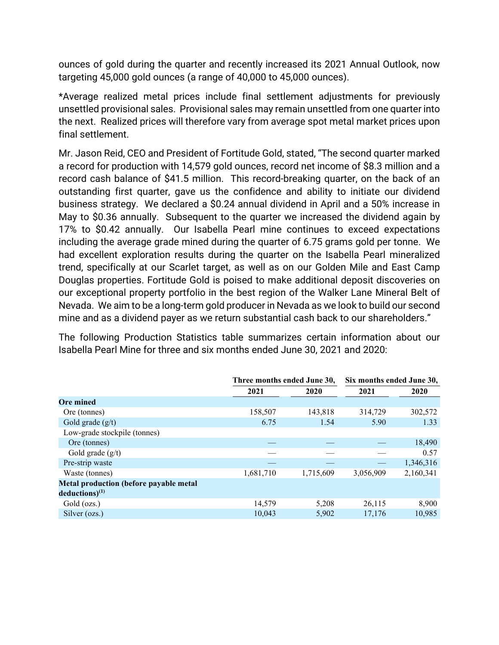ounces of gold during the quarter and recently increased its 2021 Annual Outlook, now targeting 45,000 gold ounces (a range of 40,000 to 45,000 ounces).

\*Average realized metal prices include final settlement adjustments for previously unsettled provisional sales. Provisional sales may remain unsettled from one quarter into the next. Realized prices will therefore vary from average spot metal market prices upon final settlement.

Mr. Jason Reid, CEO and President of Fortitude Gold, stated, "The second quarter marked a record for production with 14,579 gold ounces, record net income of \$8.3 million and a record cash balance of \$41.5 million. This record-breaking quarter, on the back of an outstanding first quarter, gave us the confidence and ability to initiate our dividend business strategy. We declared a \$0.24 annual dividend in April and a 50% increase in May to \$0.36 annually. Subsequent to the quarter we increased the dividend again by 17% to \$0.42 annually. Our Isabella Pearl mine continues to exceed expectations including the average grade mined during the quarter of 6.75 grams gold per tonne. We had excellent exploration results during the quarter on the Isabella Pearl mineralized trend, specifically at our Scarlet target, as well as on our Golden Mile and East Camp Douglas properties. Fortitude Gold is poised to make additional deposit discoveries on our exceptional property portfolio in the best region of the Walker Lane Mineral Belt of Nevada. We aim to be a long-term gold producer in Nevada as we look to build our second mine and as a dividend payer as we return substantial cash back to our shareholders."

The following Production Statistics table summarizes certain information about our Isabella Pearl Mine for three and six months ended June 30, 2021 and 2020:

|                                               | Three months ended June 30, |           | Six months ended June 30, |           |  |  |
|-----------------------------------------------|-----------------------------|-----------|---------------------------|-----------|--|--|
|                                               | 2021                        | 2020      |                           | 2020      |  |  |
| <b>Ore mined</b>                              |                             |           |                           |           |  |  |
| Ore (tonnes)                                  | 158,507                     | 143,818   | 314,729                   | 302,572   |  |  |
| Gold grade $(g/t)$                            | 6.75                        | 1.54      | 5.90                      | 1.33      |  |  |
| Low-grade stockpile (tonnes)                  |                             |           |                           |           |  |  |
| Ore (tonnes)                                  |                             |           |                           | 18,490    |  |  |
| Gold grade $(g/t)$                            |                             |           |                           | 0.57      |  |  |
| Pre-strip waste                               |                             |           |                           | 1,346,316 |  |  |
| Waste (tonnes)                                | 1,681,710                   | 1,715,609 | 3,056,909                 | 2,160,341 |  |  |
| <b>Metal production (before payable metal</b> |                             |           |                           |           |  |  |
| $deductions)^{(1)}$                           |                             |           |                           |           |  |  |
| Gold (ozs.)                                   | 14,579                      | 5,208     | 26,115                    | 8,900     |  |  |
| Silver (ozs.)                                 | 10.043                      | 5,902     | 17.176                    | 10,985    |  |  |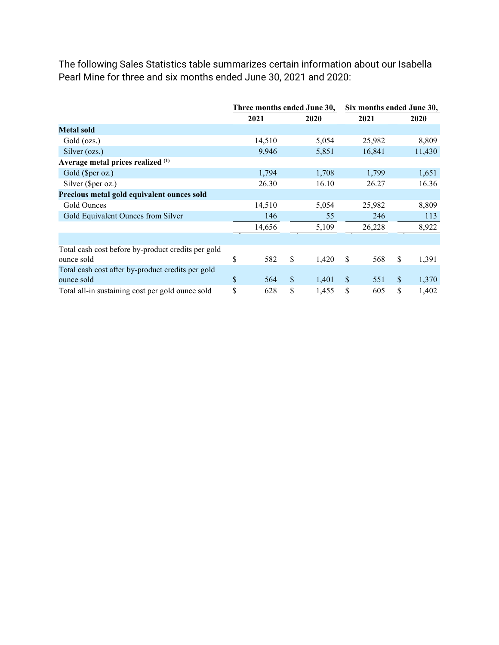The following Sales Statistics table summarizes certain information about our Isabella Pearl Mine for three and six months ended June 30, 2021 and 2020:

|                                                    | Three months ended June 30, |        |               |       | Six months ended June 30, |        |               |        |
|----------------------------------------------------|-----------------------------|--------|---------------|-------|---------------------------|--------|---------------|--------|
|                                                    | 2021                        |        |               | 2020  |                           | 2021   |               | 2020   |
| <b>Metal sold</b>                                  |                             |        |               |       |                           |        |               |        |
| Gold (ozs.)                                        |                             | 14,510 |               | 5,054 |                           | 25,982 |               | 8,809  |
| Silver (ozs.)                                      |                             | 9,946  |               | 5,851 |                           | 16,841 |               | 11,430 |
| Average metal prices realized (1)                  |                             |        |               |       |                           |        |               |        |
| Gold (\$per oz.)                                   |                             | 1,794  |               | 1,708 |                           | 1,799  |               | 1,651  |
| Silver (\$per oz.)                                 |                             | 26.30  |               | 16.10 |                           | 26.27  |               | 16.36  |
| Precious metal gold equivalent ounces sold         |                             |        |               |       |                           |        |               |        |
| Gold Ounces                                        |                             | 14,510 |               | 5,054 |                           | 25,982 |               | 8,809  |
| Gold Equivalent Ounces from Silver                 |                             | 146    |               | 55    |                           | 246    |               | 113    |
|                                                    |                             | 14,656 |               | 5,109 |                           | 26,228 |               | 8,922  |
|                                                    |                             |        |               |       |                           |        |               |        |
| Total cash cost before by-product credits per gold |                             |        |               |       |                           |        |               |        |
| ounce sold                                         | \$                          | 582    | \$            | 1,420 | \$                        | 568    | \$            | 1,391  |
| Total cash cost after by-product credits per gold  |                             |        |               |       |                           |        |               |        |
| ounce sold                                         | \$                          | 564    | $\mathcal{S}$ | 1,401 | $\mathcal{S}$             | 551    | $\mathcal{S}$ | 1,370  |
| Total all-in sustaining cost per gold ounce sold   | \$                          | 628    | \$            | 1,455 | \$                        | 605    | \$            | 1,402  |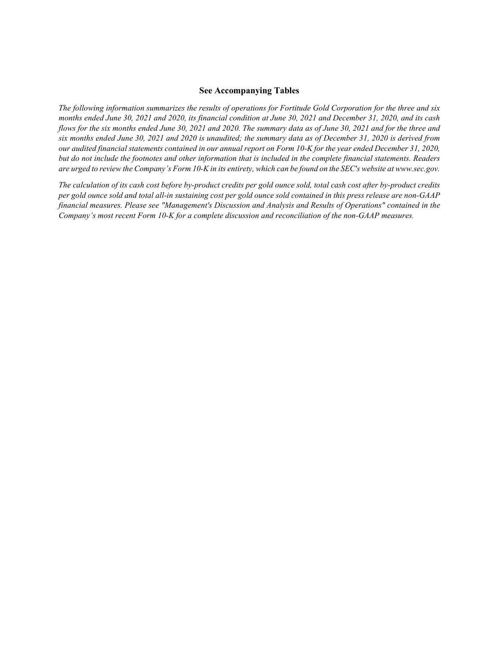#### **See Accompanying Tables**

*The following information summarizes the results of operations for Fortitude Gold Corporation for the three and six months ended June 30, 2021 and 2020, its financial condition at June 30, 2021 and December 31, 2020, and its cash flows for the six months ended June 30, 2021 and 2020. The summary data as of June 30, 2021 and for the three and six months ended June 30, 2021 and 2020 is unaudited; the summary data as of December 31, 2020 is derived from our audited financial statements contained in our annual report on Form 10-K for the year ended December 31, 2020, but do not include the footnotes and other information that is included in the complete financial statements. Readers are urged to review the Company's Form 10-K in its entirety, which can be found on the SEC's website at www.sec.gov.*

*The calculation of its cash cost before by-product credits per gold ounce sold, total cash cost after by-product credits per gold ounce sold and total all-in sustaining cost per gold ounce sold contained in this press release are non-GAAP financial measures. Please see "Management's Discussion and Analysis and Results of Operations" contained in the Company's most recent Form 10-K for a complete discussion and reconciliation of the non-GAAP measures.*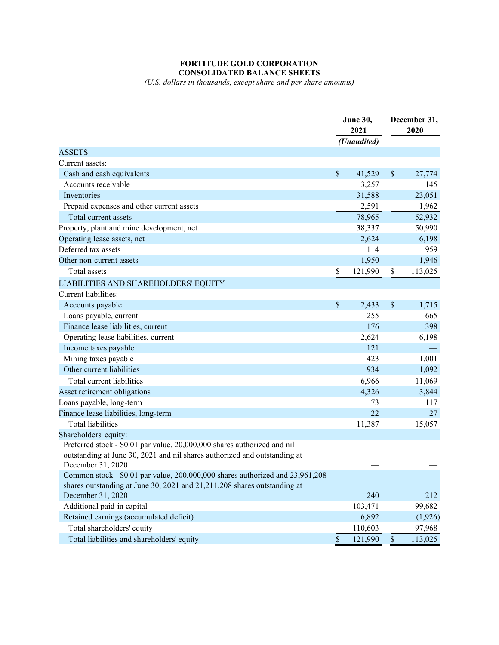### **FORTITUDE GOLD CORPORATION CONSOLIDATED BALANCE SHEETS**

*(U.S. dollars in thousands, except share and per share amounts)*

|                                                                               |                           | June 30,<br>2021 |      | December 31,<br>2020 |  |
|-------------------------------------------------------------------------------|---------------------------|------------------|------|----------------------|--|
|                                                                               |                           | (Unaudited)      |      |                      |  |
| <b>ASSETS</b>                                                                 |                           |                  |      |                      |  |
| Current assets:                                                               |                           |                  |      |                      |  |
| Cash and cash equivalents                                                     | $\boldsymbol{\mathsf{S}}$ | 41,529           | $\$$ | 27,774               |  |
| Accounts receivable                                                           |                           | 3,257            |      | 145                  |  |
| Inventories                                                                   |                           | 31,588           |      | 23,051               |  |
| Prepaid expenses and other current assets                                     |                           | 2,591            |      | 1,962                |  |
| Total current assets                                                          |                           | 78,965           |      | 52,932               |  |
| Property, plant and mine development, net                                     |                           | 38,337           |      | 50,990               |  |
| Operating lease assets, net                                                   |                           | 2,624            |      | 6,198                |  |
| Deferred tax assets                                                           |                           | 114              |      | 959                  |  |
| Other non-current assets                                                      |                           | 1,950            |      | 1,946                |  |
| Total assets                                                                  | \$                        | 121,990          | \$   | 113,025              |  |
| LIABILITIES AND SHAREHOLDERS' EQUITY                                          |                           |                  |      |                      |  |
| Current liabilities:                                                          |                           |                  |      |                      |  |
| Accounts payable                                                              | \$                        | 2,433            | \$   | 1,715                |  |
| Loans payable, current                                                        |                           | 255              |      | 665                  |  |
| Finance lease liabilities, current                                            |                           | 176              |      | 398                  |  |
| Operating lease liabilities, current                                          |                           | 2,624            |      | 6,198                |  |
| Income taxes payable                                                          |                           | 121              |      |                      |  |
| Mining taxes payable                                                          |                           | 423              |      | 1,001                |  |
| Other current liabilities                                                     |                           | 934              |      | 1,092                |  |
| Total current liabilities                                                     |                           | 6,966            |      | 11,069               |  |
| Asset retirement obligations                                                  |                           | 4,326            |      | 3,844                |  |
| Loans payable, long-term                                                      |                           | 73               |      | 117                  |  |
| Finance lease liabilities, long-term                                          |                           | 22               |      | 27                   |  |
| Total liabilities                                                             |                           | 11,387           |      | 15,057               |  |
| Shareholders' equity:                                                         |                           |                  |      |                      |  |
| Preferred stock - \$0.01 par value, 20,000,000 shares authorized and nil      |                           |                  |      |                      |  |
| outstanding at June 30, 2021 and nil shares authorized and outstanding at     |                           |                  |      |                      |  |
| December 31, 2020                                                             |                           |                  |      |                      |  |
| Common stock - \$0.01 par value, 200,000,000 shares authorized and 23,961,208 |                           |                  |      |                      |  |
| shares outstanding at June 30, 2021 and 21,211,208 shares outstanding at      |                           |                  |      |                      |  |
| December 31, 2020                                                             |                           | 240              |      | 212                  |  |
| Additional paid-in capital                                                    |                           | 103,471          |      | 99,682               |  |
| Retained earnings (accumulated deficit)                                       |                           | 6,892            |      | (1,926)              |  |
| Total shareholders' equity                                                    |                           | 110,603          |      | 97,968               |  |
| Total liabilities and shareholders' equity                                    | $\$$                      | 121,990          | $\$$ | 113,025              |  |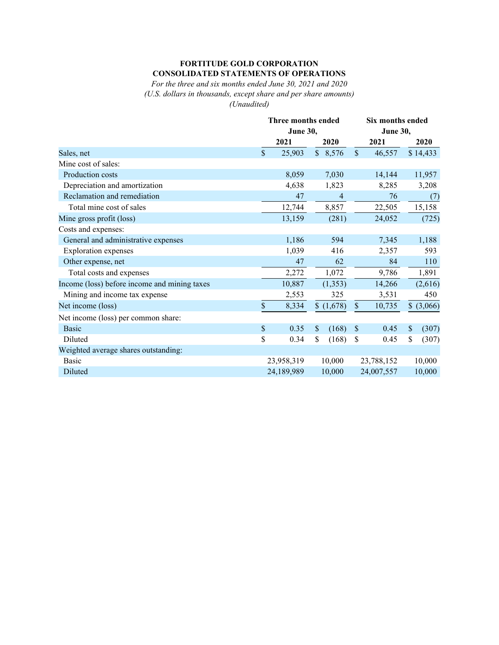### **FORTITUDE GOLD CORPORATION CONSOLIDATED STATEMENTS OF OPERATIONS**

*For the three and six months ended June 30, 2021 and 2020 (U.S. dollars in thousands, except share and per share amounts) (Unaudited)*

|                                              |      | Three months ended<br><b>June 30,</b> |                                    |                           | Six months ended<br><b>June 30,</b> |             |  |  |
|----------------------------------------------|------|---------------------------------------|------------------------------------|---------------------------|-------------------------------------|-------------|--|--|
|                                              |      |                                       |                                    |                           |                                     |             |  |  |
|                                              |      | 2021                                  | 2020                               |                           | 2021                                | 2020        |  |  |
| Sales, net                                   |      | 25,903                                | $\mathbb{S}$<br>8,576              | $\mathcal{S}$             | 46,557                              | \$14,433    |  |  |
| Mine cost of sales:                          |      |                                       |                                    |                           |                                     |             |  |  |
| Production costs                             |      | 8,059                                 | 7,030                              |                           | 14,144                              | 11,957      |  |  |
| Depreciation and amortization                |      | 4,638                                 | 1,823                              |                           | 8,285                               | 3,208       |  |  |
| Reclamation and remediation                  |      | 47                                    | $\overline{4}$                     |                           | 76                                  | (7)         |  |  |
| Total mine cost of sales                     |      | 12,744                                | 8,857                              |                           | 22,505                              | 15,158      |  |  |
| Mine gross profit (loss)                     |      | 13,159                                | (281)                              |                           | 24,052                              | (725)       |  |  |
| Costs and expenses:                          |      |                                       |                                    |                           |                                     |             |  |  |
| General and administrative expenses          |      | 1,186                                 | 594                                |                           | 7,345                               | 1,188       |  |  |
| <b>Exploration</b> expenses                  |      | 1,039                                 | 416                                |                           | 2,357                               | 593         |  |  |
| Other expense, net                           |      | 47                                    | 62                                 |                           | 84                                  | 110         |  |  |
| Total costs and expenses                     |      | 2,272                                 | 1,072                              |                           | 9,786                               | 1,891       |  |  |
| Income (loss) before income and mining taxes |      | 10,887                                | (1, 353)                           |                           | 14,266                              | (2,616)     |  |  |
| Mining and income tax expense                |      | 2,553                                 | 325                                |                           | 3,531                               | 450         |  |  |
| Net income (loss)                            | $\$$ | 8,334                                 | \$(1,678)                          | $\$$                      | 10,735                              | \$ (3,066)  |  |  |
| Net income (loss) per common share:          |      |                                       |                                    |                           |                                     |             |  |  |
| <b>Basic</b>                                 | \$   | 0.35                                  | $\boldsymbol{\mathsf{S}}$<br>(168) | $\boldsymbol{\mathsf{S}}$ | 0.45                                | \$<br>(307) |  |  |
| Diluted                                      | \$   | 0.34                                  | \$<br>(168)                        | \$                        | 0.45                                | \$<br>(307) |  |  |
| Weighted average shares outstanding:         |      |                                       |                                    |                           |                                     |             |  |  |
| <b>Basic</b>                                 |      | 23,958,319                            | 10,000                             |                           | 23,788,152                          | 10,000      |  |  |
| Diluted                                      |      | 24,189,989                            | 10,000                             |                           | 24,007,557                          | 10,000      |  |  |
|                                              |      |                                       |                                    |                           |                                     |             |  |  |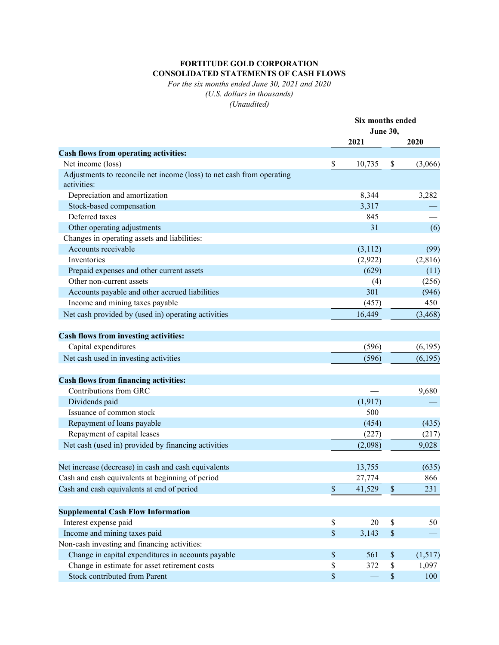## **FORTITUDE GOLD CORPORATION CONSOLIDATED STATEMENTS OF CASH FLOWS**

*For the six months ended June 30, 2021 and 2020 (U.S. dollars in thousands) (Unaudited)*

|                                                                       | Six months ended |          |                 |          |
|-----------------------------------------------------------------------|------------------|----------|-----------------|----------|
|                                                                       |                  |          | <b>June 30,</b> |          |
|                                                                       |                  | 2021     |                 | 2020     |
| Cash flows from operating activities:                                 |                  |          |                 |          |
| Net income (loss)                                                     | \$               | 10,735   | \$              | (3,066)  |
| Adjustments to reconcile net income (loss) to net cash from operating |                  |          |                 |          |
| activities:                                                           |                  |          |                 |          |
| Depreciation and amortization                                         |                  | 8,344    |                 | 3,282    |
| Stock-based compensation                                              |                  | 3,317    |                 |          |
| Deferred taxes                                                        |                  | 845      |                 |          |
| Other operating adjustments                                           |                  | 31       |                 | (6)      |
| Changes in operating assets and liabilities:                          |                  |          |                 |          |
| Accounts receivable                                                   |                  | (3,112)  |                 | (99)     |
| Inventories                                                           |                  | (2,922)  |                 | (2,816)  |
| Prepaid expenses and other current assets                             |                  | (629)    |                 | (11)     |
| Other non-current assets                                              |                  | (4)      |                 | (256)    |
| Accounts payable and other accrued liabilities                        |                  | 301      |                 | (946)    |
| Income and mining taxes payable                                       |                  | (457)    |                 | 450      |
| Net cash provided by (used in) operating activities                   |                  | 16,449   |                 | (3, 468) |
|                                                                       |                  |          |                 |          |
| <b>Cash flows from investing activities:</b>                          |                  |          |                 |          |
| Capital expenditures                                                  |                  | (596)    |                 | (6,195)  |
| Net cash used in investing activities                                 |                  | (596)    |                 | (6,195)  |
|                                                                       |                  |          |                 |          |
| <b>Cash flows from financing activities:</b>                          |                  |          |                 |          |
| Contributions from GRC                                                |                  |          |                 | 9,680    |
| Dividends paid                                                        |                  | (1, 917) |                 |          |
| Issuance of common stock                                              |                  | 500      |                 |          |
| Repayment of loans payable                                            |                  | (454)    |                 | (435)    |
| Repayment of capital leases                                           |                  | (227)    |                 | (217)    |
| Net cash (used in) provided by financing activities                   |                  | (2,098)  |                 | 9,028    |
|                                                                       |                  |          |                 |          |
| Net increase (decrease) in cash and cash equivalents                  |                  | 13,755   |                 | (635)    |
| Cash and cash equivalents at beginning of period                      |                  | 27,774   |                 | 866      |
| Cash and cash equivalents at end of period                            | $\mathbb{S}$     | 41,529   | $\$\,$          | 231      |
|                                                                       |                  |          |                 |          |
| <b>Supplemental Cash Flow Information</b>                             |                  |          |                 |          |
| Interest expense paid                                                 | $\$$             | 20       | $\$$            | 50       |
| Income and mining taxes paid                                          | $\$$             | 3,143    | $\$$            |          |
| Non-cash investing and financing activities:                          |                  |          |                 |          |
| Change in capital expenditures in accounts payable                    | $\$$             | 561      | $\$$            | (1,517)  |
| Change in estimate for asset retirement costs                         | \$               | 372      | $\$$            | 1,097    |
| Stock contributed from Parent                                         | \$               |          | $\$$            | 100      |